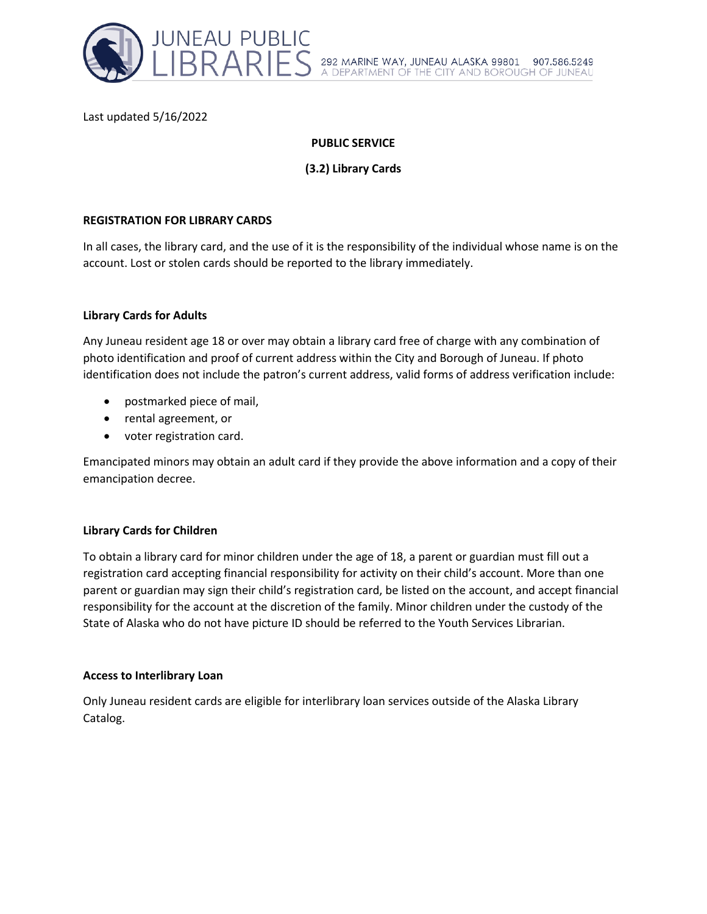

Last updated 5/16/2022

# **PUBLIC SERVICE**

**(3.2) Library Cards**

### **REGISTRATION FOR LIBRARY CARDS**

In all cases, the library card, and the use of it is the responsibility of the individual whose name is on the account. Lost or stolen cards should be reported to the library immediately.

## **Library Cards for Adults**

Any Juneau resident age 18 or over may obtain a library card free of charge with any combination of photo identification and proof of current address within the City and Borough of Juneau. If photo identification does not include the patron's current address, valid forms of address verification include:

- postmarked piece of mail,
- rental agreement, or
- voter registration card.

Emancipated minors may obtain an adult card if they provide the above information and a copy of their emancipation decree.

# **Library Cards for Children**

To obtain a library card for minor children under the age of 18, a parent or guardian must fill out a registration card accepting financial responsibility for activity on their child's account. More than one parent or guardian may sign their child's registration card, be listed on the account, and accept financial responsibility for the account at the discretion of the family. Minor children under the custody of the State of Alaska who do not have picture ID should be referred to the Youth Services Librarian.

### **Access to Interlibrary Loan**

Only Juneau resident cards are eligible for interlibrary loan services outside of the Alaska Library Catalog.